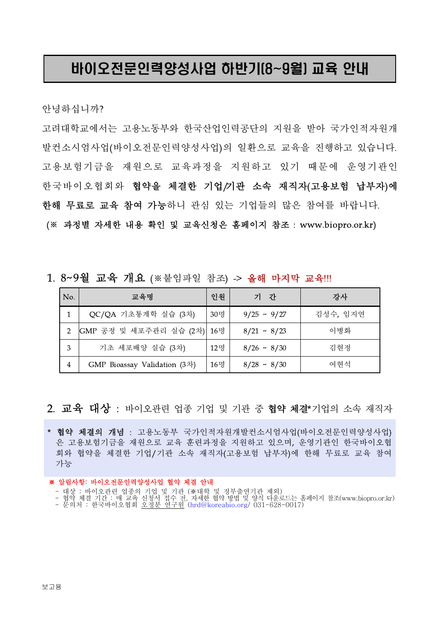# 바이오전문인력양성사업 하반기(8~9월) 교육 안내

안녕하십니까?

고려대학교에서는 고용노동부와 한국산업인력공단의 지원을 받아 국가인적자원개 발컨소시엄사업(바이오전문인력양성사업)의 일환으로 교육을 진행하고 있습니다. 고용보험기금을 재원으로 교육과정을 지원하고 있기 때문에 운영기관인 한국바이오협회와 협약을 체결한 기업/기관 소속 재직자(고용보험 납부자)에 한해 무료로 교육 참여 가능하니 관심 있는 기업들의 많은 참여를 바랍니다.

(※ 과정별 자세한 내용 확인 및 교육신청은 홈페이지 참조 : www.biopro.or.kr)

### 1. 8~9월 교육 개요 (※붙임파일 참조) -> 올해 마지막 교육!!!

| No. | 교육명                                  | 인원  | 기 간              | 강사       |
|-----|--------------------------------------|-----|------------------|----------|
|     | QC/QA 기초통계학 실습 (3차)                  | 30명 | $9/25 \sim 9/27$ | 김성수, 임지연 |
| 2   | GMP 공정 및 세포주관리 실습 (2차) 16명           |     | $8/21 \sim 8/23$ | 이병화      |
| 3   | 기초 세포배양 실습 (3차)                      | 12명 | $8/26 \sim 8/30$ | 김현정      |
| 4   | GMP Bioassay Validation $(3\lambda)$ | 16명 | $8/28 \sim 8/30$ | 여현석      |

2. 교육 대상 : 바이오관련 업종 기업 및 기관 중 협약 체결\*기업의 소속 재직자

\* 협약 체결의 개념 : 고용노동부 국가인적자원개발컨소시엄사업(바이오전문인력양성사업) 은 고용보험기금을 재원으로 교육 훈련과정을 지원하고 있으며, 운영기관인 한국바이오협 회와 협약을 체결한 기업/기관 소속 재직자(고용보험 납부자)에 한해 무료로 교육 참여 가능

### ※ 알림사항: 바이오전문인력양성사업 협약 체결 안내

- 대상 : 바이오관련 업종의 기업 및 기관 (※대학 및 정부출연기관 제외)
- 협약 체결 기간 : 매 교육 신청서 접수 전, 자세한 협약 방법 및 양식 다운로드는 홈페이지 참조(www.biopro.or.kr)
- 문의처 : 한국바이오협회 오정분 연구원 (hrd@koreabio.org/ 031-628-0017)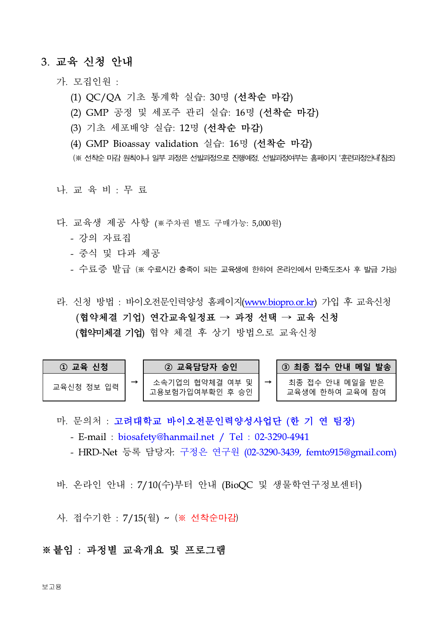### 3. 교육 신청 안내

가. 모집인원 :

- (1) QC/QA 기초 통계학 실습: 30명 (선착순 마감)
- (2) GMP 공정 및 세포주 관리 실습: 16명 (선착순 마감)
- (3) 기초 세포배양 실습: 12명 (선착순 마감)
- (4) GMP Bioassay validation 실습: 16명 (선착순 마감)
- (※ 선착순 마감 원칙이나 일부 과정은 선발과정으로 진행예정. 선발과정여부는 홈페이지 '훈련과정안내'참조)

나. 교 육 비 : 무 료

- 다. 교육생 제공 사항 ( 주차권 별도 구매가능: 5,000원)
	- 강의 자료집
	- 중식 및 다과 제공
	- 수료증 발급 (※ 수료시간 충족이 되는 교육생에 한하여 온라인에서 만족도조사 후 발급 가능)

라. 신청 방법 : 바이오전문인력양성 홈페이지(www.biopro.or.kr) 가입 후 교육신청 (협약체결 기업) 연간교육일정표 → 과정 선택 → 교육 신청 (협약미체결 기업) 협약 체결 후 상기 방법으로 교육신청

| 1 교육 신청    | ② 교육담당자 승인                         | <b>\③  최종 접수 안내 메일 발송\</b>         |
|------------|------------------------------------|------------------------------------|
| 교육신청 정보 입력 | 소속기업의 협약체결 여부 및<br>고용보험가입여부확인 후 승인 | 최종 접수 안내 메일을 받은<br>교육생에 한하여 교육에 참여 |

마. 문의처 : 고려대학교 바이오전문인력양성사업단 (한 기 연 팀장)

- E-mail : biosafety@hanmail.net / Tel : 02-3290-4941

- HRD-Net 등록 담당자: 구정은 연구원 (02-3290-3439, femto915@gmail.com)

바. 온라인 안내 : 7/10(수)부터 안내 (BioQC 및 생물학연구정보센터)

사. 접수기한 : 7/15(월) ~ (※ 선착순마감)

### ※붙임 : 과정별 교육개요 및 프로그램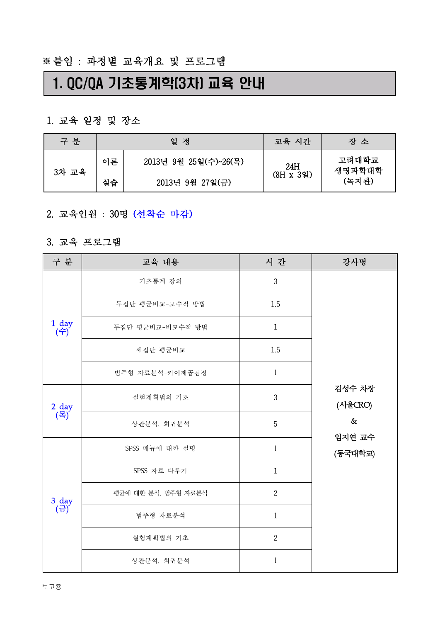# 1. QC/QA 기초통계학(3차) 교육 안내

## 1. 교육 일정 및 장소

| 구 분      | 일<br>정 |                       | 교육 시간     | 장 소             |
|----------|--------|-----------------------|-----------|-----------------|
|          | 이론     | 2013년 9월 25일(수)~26(목) | 24H       | 고려대학교<br>생명과학대학 |
| 3차<br>교육 | 실습     | 2013년 9월 27일(금)       | (8H x 3일) | (녹지관)           |

# 2. 교육인원 : 30명 (선착순 마감)<br><br>3. 교육 프로그램

| 구 분                                                         | 교육 내용               | 시 간            | 강사명                                            |  |
|-------------------------------------------------------------|---------------------|----------------|------------------------------------------------|--|
|                                                             | 기초통계 강의             | $\mathfrak{Z}$ |                                                |  |
|                                                             | 두집단 평균비교-모수적 방법     | 1.5            |                                                |  |
| $\begin{pmatrix} 1 & \text{day} \\ \text{up} \end{pmatrix}$ | 두집단 평균비교-비모수적 방법    | $\mathbf 1$    |                                                |  |
|                                                             | 세집단 평균비교            | 1.5            |                                                |  |
|                                                             | 범주형 자료분석-카이제곱검정     | $\,1$          |                                                |  |
|                                                             | 실험계획법의 기초           | $\mathfrak{Z}$ | 김성수 차장<br>(서울CRO)<br>$\&$<br>임지연 교수<br>(동국대학교) |  |
| $2 \frac{day}{4}$                                           | 상관분석, 회귀분석          | 5              |                                                |  |
|                                                             | SPSS 메뉴에 대한 설명      | $1\,$          |                                                |  |
|                                                             | SPSS 자료 다루기         | $\mathbf{1}$   |                                                |  |
|                                                             | 평균에 대한 분석, 범주형 자료분석 | $\overline{2}$ |                                                |  |
| $\frac{3}{\left(\frac{1}{H}\right)}$                        | 범주형 자료분석            | $\mathbf 1$    |                                                |  |
|                                                             | 실험계획법의 기초           | $\overline{2}$ |                                                |  |
|                                                             | 상관분석, 회귀분석          | $\,1$          |                                                |  |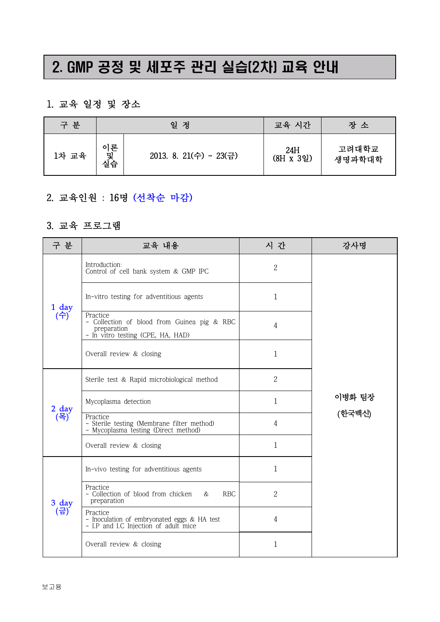# 2. GMP 공정 및 세포주 관리 실습(2차) 교육 안내

## 1. 교육 일정 및 장소

| 구 분   | 일<br>정        |                        | 교육 시간            | 장 소             |
|-------|---------------|------------------------|------------------|-----------------|
| 1차 교육 | 이론<br>및<br>실습 | 2013. 8. 21(수) ~ 23(금) | 24H<br>(8H x 3일) | 고려대학교<br>생명과학대학 |

# 2. 교육인원 : 16명 (선착순 마감)<br><br>3. 교육 프로그램

| 구 분                                                         | 교육 내용                                                                                                       | 시 간            | 강사명              |
|-------------------------------------------------------------|-------------------------------------------------------------------------------------------------------------|----------------|------------------|
|                                                             | Introduction:<br>Control of cell bank system & GMP IPC                                                      | $\mathbf{2}$   |                  |
| $\begin{pmatrix} 1 & \text{day} \\ \text{up} \end{pmatrix}$ | In-vitro testing for adventitious agents                                                                    | $\mathbf 1$    |                  |
|                                                             | Practice<br>- Collection of blood from Guinea pig & RBC<br>preparation<br>- In vitro testing (CPE, HA, HAD) | $\overline{4}$ |                  |
|                                                             | Overall review & closing                                                                                    | $\mathbf 1$    |                  |
|                                                             | Sterile test & Rapid microbiological method                                                                 | $\overline{2}$ | 이병화 팀장<br>(한국백신) |
| $2$ day                                                     | Mycoplasma detection                                                                                        | $\mathbf 1$    |                  |
| (목)                                                         | Practice<br>- Sterile testing (Membrane filter method)<br>- Mycoplasma testing (Direct method)              | 4              |                  |
|                                                             | Overall review & closing                                                                                    | $\mathbf 1$    |                  |
|                                                             | In-vivo testing for adventitious agents                                                                     | $\mathbf 1$    |                  |
| 3 day                                                       | Practice<br>- Collection of blood from chicken<br><b>RBC</b><br>&<br>preparation                            | $\mathbf{2}$   |                  |
| (금)                                                         | Practice<br>- Inoculation of embryonated eggs & HA test<br>- I.P and I.C Injection of adult mice            | 4              |                  |
|                                                             | Overall review & closing                                                                                    | 1              |                  |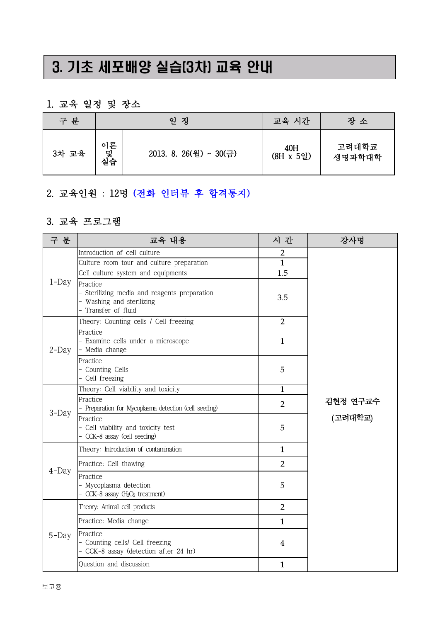# 3. 기초 세포배양 실습(3차) 교육 안내

## 1. 교육 일정 및 장소

| 구 분   |               | 일<br>정                 | 교육 시간                   | 장 소             |
|-------|---------------|------------------------|-------------------------|-----------------|
| 3차 교육 | 이론<br>힟<br>실습 | 2013. 8. 26(월) ~ 30(금) | 40H<br>$(8H \times 59)$ | 고려대학교<br>생명과학대학 |

# 2. 교육인원 : 12명 (전화 인터뷰 후 합격통지)<br>3. 교육 프로그램

| 구 분      | 교육 내용                                                                                                                                                                                                                                                                                                                                                                                                                                                                                                                                                                                                                                                                                                                                                                                                                                                  | 시 간            | 강사명      |  |  |
|----------|--------------------------------------------------------------------------------------------------------------------------------------------------------------------------------------------------------------------------------------------------------------------------------------------------------------------------------------------------------------------------------------------------------------------------------------------------------------------------------------------------------------------------------------------------------------------------------------------------------------------------------------------------------------------------------------------------------------------------------------------------------------------------------------------------------------------------------------------------------|----------------|----------|--|--|
|          | Introduction of cell culture                                                                                                                                                                                                                                                                                                                                                                                                                                                                                                                                                                                                                                                                                                                                                                                                                           | 2              |          |  |  |
|          | Culture room tour and culture preparation                                                                                                                                                                                                                                                                                                                                                                                                                                                                                                                                                                                                                                                                                                                                                                                                              | $\overline{1}$ |          |  |  |
|          | Cell culture system and equipments                                                                                                                                                                                                                                                                                                                                                                                                                                                                                                                                                                                                                                                                                                                                                                                                                     | 1.5            |          |  |  |
| $1$ -Day | Practice<br>- Sterilizing media and reagents preparation<br>- Washing and sterilizing<br>- Transfer of fluid                                                                                                                                                                                                                                                                                                                                                                                                                                                                                                                                                                                                                                                                                                                                           | 3.5            |          |  |  |
|          | $\overline{2}$<br>Theory: Counting cells / Cell freezing<br>Practice<br>- Examine cells under a microscope<br>$\mathbf{1}$<br>- Media change<br>Practice<br>- Counting Cells<br>5<br>- Cell freezing<br>Theory: Cell viability and toxicity<br>$\mathbf{1}$<br>Practice<br>$\overline{2}$<br>- Preparation for Mycoplasma detection (cell seeding)<br>Practice<br>5<br>- Cell viability and toxicity test<br>- CCK-8 assay (cell seeding)<br>Theory: Introduction of contamination<br>$\mathbf{1}$<br>$\overline{2}$<br>Practice: Cell thawing<br>Practice<br>5<br>- Mycoplasma detection<br>CCK-8 assay $(H_2O_2$ treatment)<br>$\overline{2}$<br>Theory: Animal cell products<br>Practice: Media change<br>$\mathbf{1}$<br>Practice<br>- Counting cells/ Cell freezing<br>4<br>- CCK-8 assay (detection after 24 hr)<br>Question and discussion<br>1 |                |          |  |  |
| $2$ -Day |                                                                                                                                                                                                                                                                                                                                                                                                                                                                                                                                                                                                                                                                                                                                                                                                                                                        |                |          |  |  |
|          |                                                                                                                                                                                                                                                                                                                                                                                                                                                                                                                                                                                                                                                                                                                                                                                                                                                        |                | 김현정 연구교수 |  |  |
|          |                                                                                                                                                                                                                                                                                                                                                                                                                                                                                                                                                                                                                                                                                                                                                                                                                                                        |                |          |  |  |
| 3-Day    |                                                                                                                                                                                                                                                                                                                                                                                                                                                                                                                                                                                                                                                                                                                                                                                                                                                        |                |          |  |  |
|          |                                                                                                                                                                                                                                                                                                                                                                                                                                                                                                                                                                                                                                                                                                                                                                                                                                                        |                | (고려대학교)  |  |  |
|          |                                                                                                                                                                                                                                                                                                                                                                                                                                                                                                                                                                                                                                                                                                                                                                                                                                                        |                |          |  |  |
|          |                                                                                                                                                                                                                                                                                                                                                                                                                                                                                                                                                                                                                                                                                                                                                                                                                                                        |                |          |  |  |
| $4$ -Day |                                                                                                                                                                                                                                                                                                                                                                                                                                                                                                                                                                                                                                                                                                                                                                                                                                                        |                |          |  |  |
|          |                                                                                                                                                                                                                                                                                                                                                                                                                                                                                                                                                                                                                                                                                                                                                                                                                                                        |                |          |  |  |
|          |                                                                                                                                                                                                                                                                                                                                                                                                                                                                                                                                                                                                                                                                                                                                                                                                                                                        |                |          |  |  |
| 5-Day    |                                                                                                                                                                                                                                                                                                                                                                                                                                                                                                                                                                                                                                                                                                                                                                                                                                                        |                |          |  |  |
|          |                                                                                                                                                                                                                                                                                                                                                                                                                                                                                                                                                                                                                                                                                                                                                                                                                                                        |                |          |  |  |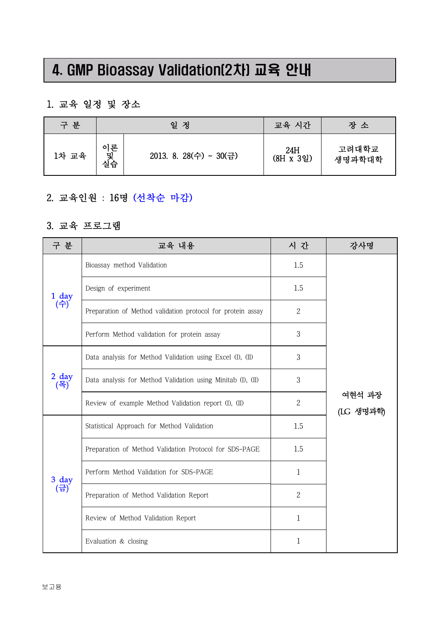# 4. GMP Bioassay Validation(2차) 교육 안내

## 1. 교육 일정 및 장소

| 구 분   |               | 일<br>정                 | 교육 시간            | 장 소             |
|-------|---------------|------------------------|------------------|-----------------|
| 1차 교육 | 이론<br>및<br>실습 | 2013. 8. 28(수) ~ 30(금) | 24H<br>(8H x 3일) | 고려대학교<br>생명과학대학 |

# 2. 교육인원 : 16명 (선착순 마감)<br><br>3. 교육 프로그램

| 구 분                                                       | 교육 내용                                                       | 시 간            | 강사명                 |
|-----------------------------------------------------------|-------------------------------------------------------------|----------------|---------------------|
|                                                           | Bioassay method Validation                                  | 1.5            |                     |
|                                                           | Design of experiment                                        | 1.5            |                     |
| $\begin{array}{c} 1 \ \mathrm{day} \\ (\div) \end{array}$ | Preparation of Method validation protocol for protein assay | $\mathbf{2}$   |                     |
|                                                           | Perform Method validation for protein assay                 | 3              |                     |
|                                                           | Data analysis for Method Validation using Excel (I), (II)   | 3              |                     |
| $2 \frac{day}{4}$                                         | Data analysis for Method Validation using Minitab (I), (II) | 3              | 여현석 과장<br>(LG 생명과학) |
|                                                           | Review of example Method Validation report (I), (II)        | $\overline{2}$ |                     |
|                                                           | Statistical Approach for Method Validation                  | 1.5            |                     |
|                                                           | Preparation of Method Validation Protocol for SDS-PAGE      | 1.5            |                     |
|                                                           | Perform Method Validation for SDS-PAGE                      | $\mathbf 1$    |                     |
| $\frac{3}{\left(\frac{1}{11}\right)}$                     | Preparation of Method Validation Report                     | $\overline{2}$ |                     |
|                                                           | Review of Method Validation Report                          | $\mathbf 1$    |                     |
|                                                           | Evaluation & closing                                        | 1              |                     |